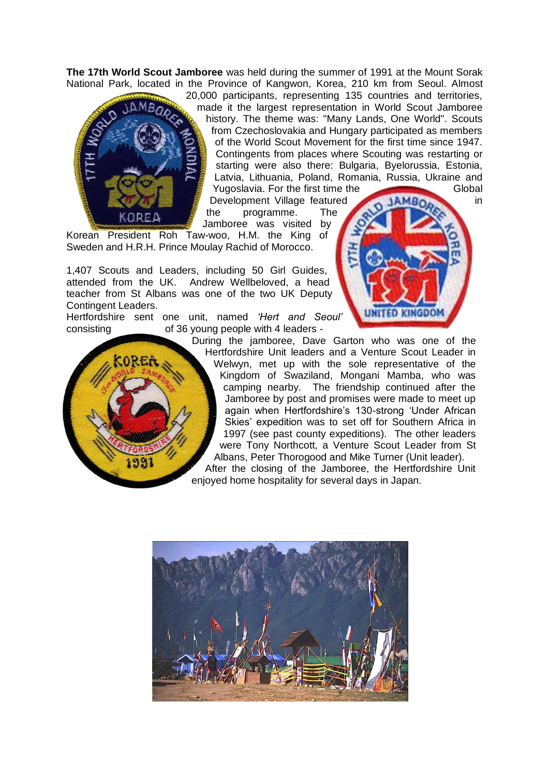**The 17th World Scout Jamboree** was held during the summer of 1991 at the Mount Sorak National Park, located in the Province of Kangwon, Korea, 210 km from Seoul. Almost



20,000 participants, representing 135 countries and territories, made it the largest representation in World Scout Jamboree history. The theme was: "Many Lands, One World". Scouts from Czechoslovakia and Hungary participated as members of the World Scout Movement for the first time since 1947. Contingents from places where Scouting was restarting or starting were also there: Bulgaria, Byelorussia, Estonia, Latvia, Lithuania, Poland, Romania, Russia, Ukraine and Yugoslavia. For the first time the Global

Development Village featured **in AMBO.** in the programme. The Jamboree was visited by

Korean President Roh Taw-woo, H.M. the King of Sweden and H.R.H. Prince Moulay Rachid of Morocco.

1,407 Scouts and Leaders, including 50 Girl Guides, attended from the UK. Andrew Wellbeloved, a head teacher from St Albans was one of the two UK Deputy Contingent Leaders.

Hertfordshire sent one unit, named *'Hert and Seoul'* consisting of 36 young people with 4 leaders -

UNITED KINGDOI During the jamboree, Dave Garton who was one of the Hertfordshire Unit leaders and a Venture Scout Leader in Welwyn, met up with the sole representative of the Kingdom of Swaziland, Mongani Mamba, who was camping nearby. The friendship continued after the Jamboree by post and promises were made to meet up again when Hertfordshire's 130-strong 'Under African Skies' expedition was to set off for Southern Africa in 1997 (see past county expeditions). The other leaders were Tony Northcott, a Venture Scout Leader from St Albans, Peter Thorogood and Mike Turner (Unit leader).

After the closing of the Jamboree, the Hertfordshire Unit enjoyed home hospitality for several days in Japan.